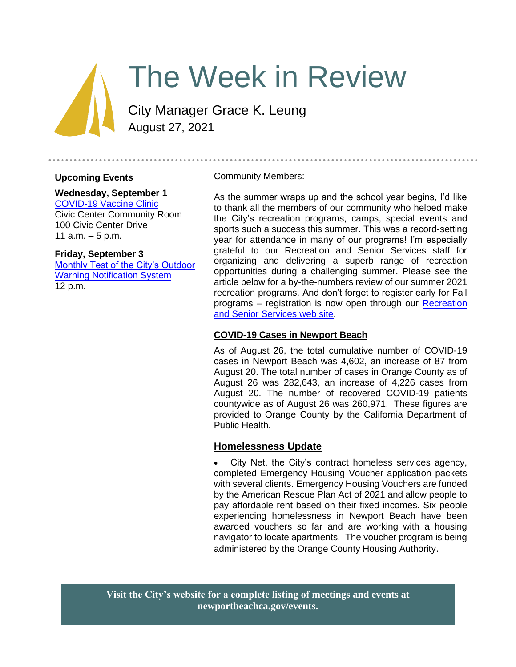

# The Week in Review

City Manager Grace K. Leung August 27, 2021

## **Upcoming Events**

# **Wednesday, September 1**

[COVID-19 Vaccine Clinic](https://newportbeachca.gov/Home/Components/Calendar/Event/67413/72?curm=9&cury=2021) Civic Center Community Room 100 Civic Center Drive 11  $a.m. - 5 p.m.$ 

#### **Friday, September 3**

[Monthly Test of the City's Outdoor](https://newportbeachca.gov/Home/Components/Calendar/Event/66032/72?curm=9&cury=2021)  [Warning Notification System](https://newportbeachca.gov/Home/Components/Calendar/Event/66032/72?curm=9&cury=2021) 12 p.m.

Community Members:

As the summer wraps up and the school year begins, I'd like to thank all the members of our community who helped make the City's recreation programs, camps, special events and sports such a success this summer. This was a record-setting year for attendance in many of our programs! I'm especially grateful to our Recreation and Senior Services staff for organizing and delivering a superb range of recreation opportunities during a challenging summer. Please see the article below for a by-the-numbers review of our summer 2021 recreation programs. And don't forget to register early for Fall programs – registration is now open through our [Recreation](https://www.newportbeachca.gov/government/departments/recreation-senior-services)  [and Senior Services web site.](https://www.newportbeachca.gov/government/departments/recreation-senior-services)

## **COVID-19 Cases in Newport Beach**

As of August 26, the total cumulative number of COVID-19 cases in Newport Beach was 4,602, an increase of 87 from August 20. The total number of cases in Orange County as of August 26 was 282,643, an increase of 4,226 cases from August 20. The number of recovered COVID-19 patients countywide as of August 26 was 260,971. These figures are provided to Orange County by the California Department of Public Health.

# **Homelessness Update**

City Net, the City's contract homeless services agency, completed Emergency Housing Voucher application packets with several clients. Emergency Housing Vouchers are funded by the American Rescue Plan Act of 2021 and allow people to pay affordable rent based on their fixed incomes. Six people experiencing homelessness in Newport Beach have been awarded vouchers so far and are working with a housing navigator to locate apartments. The voucher program is being administered by the Orange County Housing Authority.

**Visit the City's website for a complete listing of meetings and events at [newportbeachca.gov/events.](https://www.newportbeachca.gov/government/data-hub/city-calendar)**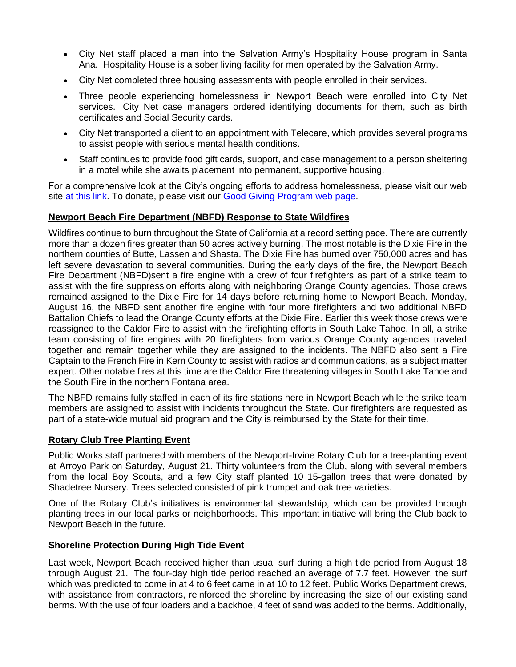- City Net staff placed a man into the Salvation Army's Hospitality House program in Santa Ana. Hospitality House is a sober living facility for men operated by the Salvation Army.
- City Net completed three housing assessments with people enrolled in their services.
- Three people experiencing homelessness in Newport Beach were enrolled into City Net services. City Net case managers ordered identifying documents for them, such as birth certificates and Social Security cards.
- City Net transported a client to an appointment with Telecare, which provides several programs to assist people with serious mental health conditions.
- Staff continues to provide food gift cards, support, and case management to a person sheltering in a motel while she awaits placement into permanent, supportive housing.

For a comprehensive look at the City's ongoing efforts to address homelessness, please visit our web site [at this link.](https://www.newportbeachca.gov/trending/community-issues/homelessness) To donate, please visit our [Good Giving Program web page.](https://newportbeachca.gov/trending/community-issues/homelessness/how-you-can-help)

## **Newport Beach Fire Department (NBFD) Response to State Wildfires**

Wildfires continue to burn throughout the State of California at a record setting pace. There are currently more than a dozen fires greater than 50 acres actively burning. The most notable is the Dixie Fire in the northern counties of Butte, Lassen and Shasta. The Dixie Fire has burned over 750,000 acres and has left severe devastation to several communities. During the early days of the fire, the Newport Beach Fire Department (NBFD)sent a fire engine with a crew of four firefighters as part of a strike team to assist with the fire suppression efforts along with neighboring Orange County agencies. Those crews remained assigned to the Dixie Fire for 14 days before returning home to Newport Beach. Monday, August 16, the NBFD sent another fire engine with four more firefighters and two additional NBFD Battalion Chiefs to lead the Orange County efforts at the Dixie Fire. Earlier this week those crews were reassigned to the Caldor Fire to assist with the firefighting efforts in South Lake Tahoe. In all, a strike team consisting of fire engines with 20 firefighters from various Orange County agencies traveled together and remain together while they are assigned to the incidents. The NBFD also sent a Fire Captain to the French Fire in Kern County to assist with radios and communications, as a subject matter expert. Other notable fires at this time are the Caldor Fire threatening villages in South Lake Tahoe and the South Fire in the northern Fontana area.

The NBFD remains fully staffed in each of its fire stations here in Newport Beach while the strike team members are assigned to assist with incidents throughout the State. Our firefighters are requested as part of a state-wide mutual aid program and the City is reimbursed by the State for their time.

## **Rotary Club Tree Planting Event**

Public Works staff partnered with members of the Newport-Irvine Rotary Club for a tree-planting event at Arroyo Park on Saturday, August 21. Thirty volunteers from the Club, along with several members from the local Boy Scouts, and a few City staff planted 10 15-gallon trees that were donated by Shadetree Nursery. Trees selected consisted of pink trumpet and oak tree varieties.

One of the Rotary Club's initiatives is environmental stewardship, which can be provided through planting trees in our local parks or neighborhoods. This important initiative will bring the Club back to Newport Beach in the future.

## **Shoreline Protection During High Tide Event**

Last week, Newport Beach received higher than usual surf during a high tide period from August 18 through August 21. The four-day high tide period reached an average of 7.7 feet. However, the surf which was predicted to come in at 4 to 6 feet came in at 10 to 12 feet. Public Works Department crews, with assistance from contractors, reinforced the shoreline by increasing the size of our existing sand berms. With the use of four loaders and a backhoe, 4 feet of sand was added to the berms. Additionally,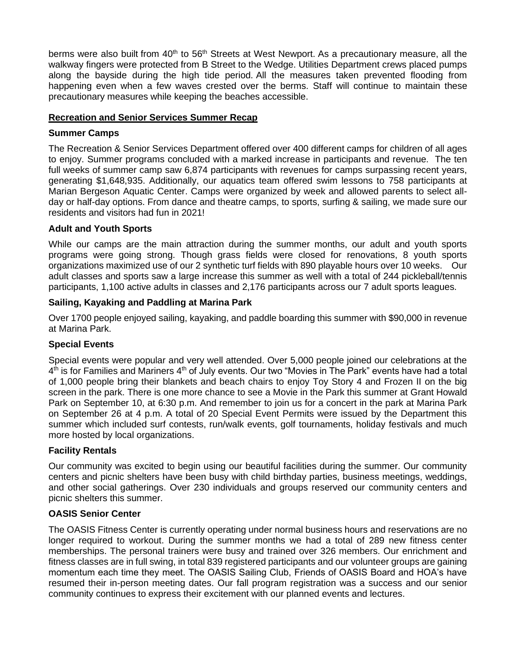berms were also built from 40<sup>th</sup> to 56<sup>th</sup> Streets at West Newport. As a precautionary measure, all the walkway fingers were protected from B Street to the Wedge. Utilities Department crews placed pumps along the bayside during the high tide period. All the measures taken prevented flooding from happening even when a few waves crested over the berms. Staff will continue to maintain these precautionary measures while keeping the beaches accessible.

## **Recreation and Senior Services Summer Recap**

## **Summer Camps**

The Recreation & Senior Services Department offered over 400 different camps for children of all ages to enjoy. Summer programs concluded with a marked increase in participants and revenue. The ten full weeks of summer camp saw 6,874 participants with revenues for camps surpassing recent years, generating \$1,648,935. Additionally, our aquatics team offered swim lessons to 758 participants at Marian Bergeson Aquatic Center. Camps were organized by week and allowed parents to select allday or half-day options. From dance and theatre camps, to sports, surfing & sailing, we made sure our residents and visitors had fun in 2021!

## **Adult and Youth Sports**

While our camps are the main attraction during the summer months, our adult and youth sports programs were going strong. Though grass fields were closed for renovations, 8 youth sports organizations maximized use of our 2 synthetic turf fields with 890 playable hours over 10 weeks. Our adult classes and sports saw a large increase this summer as well with a total of 244 pickleball/tennis participants, 1,100 active adults in classes and 2,176 participants across our 7 adult sports leagues.

## **Sailing, Kayaking and Paddling at Marina Park**

Over 1700 people enjoyed sailing, kayaking, and paddle boarding this summer with \$90,000 in revenue at Marina Park.

## **Special Events**

Special events were popular and very well attended. Over 5,000 people joined our celebrations at the 4<sup>th</sup> is for Families and Mariners 4<sup>th</sup> of July events. Our two "Movies in The Park" events have had a total of 1,000 people bring their blankets and beach chairs to enjoy Toy Story 4 and Frozen II on the big screen in the park. There is one more chance to see a Movie in the Park this summer at Grant Howald Park on September 10, at 6:30 p.m. And remember to join us for a concert in the park at Marina Park on September 26 at 4 p.m. A total of 20 Special Event Permits were issued by the Department this summer which included surf contests, run/walk events, golf tournaments, holiday festivals and much more hosted by local organizations.

## **Facility Rentals**

Our community was excited to begin using our beautiful facilities during the summer. Our community centers and picnic shelters have been busy with child birthday parties, business meetings, weddings, and other social gatherings. Over 230 individuals and groups reserved our community centers and picnic shelters this summer.

## **OASIS Senior Center**

The OASIS Fitness Center is currently operating under normal business hours and reservations are no longer required to workout. During the summer months we had a total of 289 new fitness center memberships. The personal trainers were busy and trained over 326 members. Our enrichment and fitness classes are in full swing, in total 839 registered participants and our volunteer groups are gaining momentum each time they meet. The OASIS Sailing Club, Friends of OASIS Board and HOA's have resumed their in-person meeting dates. Our fall program registration was a success and our senior community continues to express their excitement with our planned events and lectures.